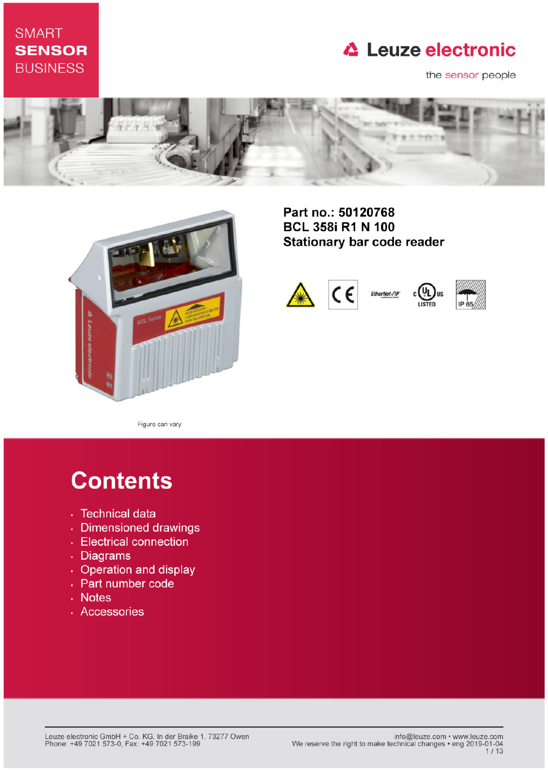# **SMART SENSOR BUSINESS**

# **△ Leuze electronic**

the sensor people





Part no.: 50120768 **BCL 358i R1 N 100 Stationary bar code reader** 







**US** 

Figure can vary

# **Contents**

- · Technical data
- · Dimensioned drawings
- Electrical connection
- . Diagrams
- Operation and display
- Part number code
- Notes
- · Accessories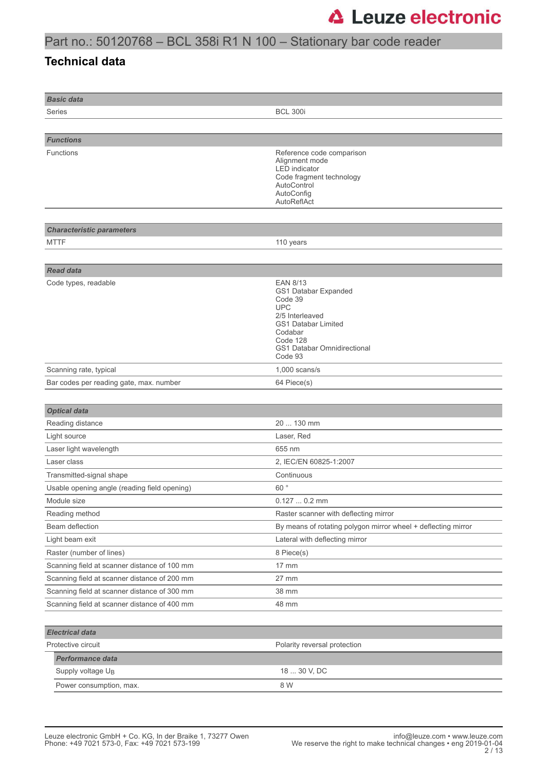#### **Technical data**

| <b>Basic data</b>                            |                                                                                                                                                                             |
|----------------------------------------------|-----------------------------------------------------------------------------------------------------------------------------------------------------------------------------|
| Series                                       | <b>BCL 300i</b>                                                                                                                                                             |
|                                              |                                                                                                                                                                             |
| <b>Functions</b>                             |                                                                                                                                                                             |
| Functions                                    | Reference code comparison<br>Alignment mode<br><b>LED</b> indicator<br>Code fragment technology<br>AutoControl<br>AutoConfig<br>AutoReflAct                                 |
|                                              |                                                                                                                                                                             |
| <b>Characteristic parameters</b>             |                                                                                                                                                                             |
| <b>MTTF</b>                                  | 110 years                                                                                                                                                                   |
|                                              |                                                                                                                                                                             |
| <b>Read data</b>                             |                                                                                                                                                                             |
| Code types, readable                         | <b>EAN 8/13</b><br>GS1 Databar Expanded<br>Code 39<br><b>UPC</b><br>2/5 Interleaved<br>GS1 Databar Limited<br>Codabar<br>Code 128<br>GS1 Databar Omnidirectional<br>Code 93 |
| Scanning rate, typical                       | $1,000$ scans/s                                                                                                                                                             |
| Bar codes per reading gate, max. number      | 64 Piece(s)                                                                                                                                                                 |
|                                              |                                                                                                                                                                             |
| <b>Optical data</b>                          |                                                                                                                                                                             |
| Reading distance                             | 20  130 mm                                                                                                                                                                  |
| Light source                                 | Laser, Red                                                                                                                                                                  |
| Laser light wavelength                       | 655 nm                                                                                                                                                                      |
| Laser class                                  | 2, IEC/EN 60825-1:2007                                                                                                                                                      |
| Transmitted-signal shape                     | Continuous                                                                                                                                                                  |
| Usable opening angle (reading field opening) | 60°                                                                                                                                                                         |
| Module size                                  | $0.1270.2$ mm                                                                                                                                                               |
| Reading method                               | Raster scanner with deflecting mirror                                                                                                                                       |
| Beam deflection                              | By means of rotating polygon mirror wheel + deflecting mirror                                                                                                               |
| Light beam exit                              | Lateral with deflecting mirror                                                                                                                                              |
| Raster (number of lines)                     | 8 Piece(s)                                                                                                                                                                  |
| Scanning field at scanner distance of 100 mm | 17 mm                                                                                                                                                                       |
| Scanning field at scanner distance of 200 mm | 27 mm                                                                                                                                                                       |
| Scanning field at scanner distance of 300 mm | 38 mm                                                                                                                                                                       |
| Scanning field at scanner distance of 400 mm | 48 mm                                                                                                                                                                       |
|                                              |                                                                                                                                                                             |
| <b>Electrical data</b>                       |                                                                                                                                                                             |
| Protective circuit                           | Polarity reversal protection                                                                                                                                                |
| Performance data                             |                                                                                                                                                                             |
| Supply voltage U <sub>B</sub>                | 18  30 V, DC                                                                                                                                                                |
| Power consumption, max.                      | 8 W                                                                                                                                                                         |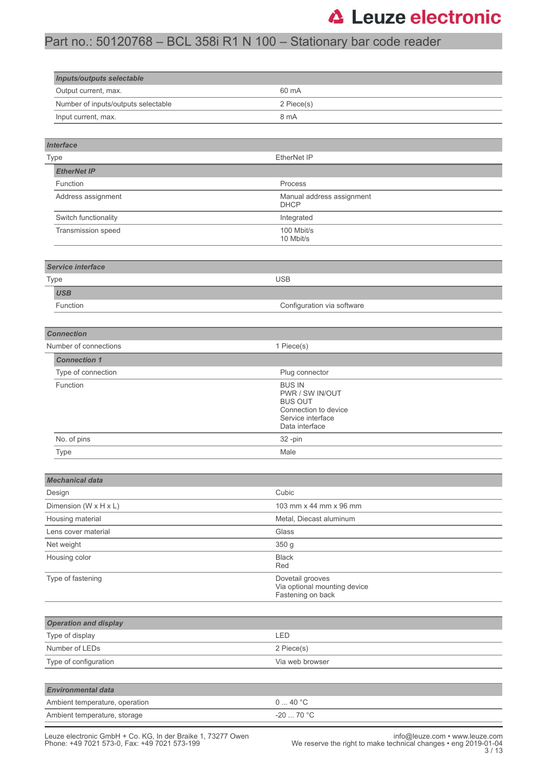# Part no.: 50120768 – BCL 358i R1 N 100 – Stationary bar code reader

| <b>Inputs/outputs selectable</b>    |                                                                                                                   |  |
|-------------------------------------|-------------------------------------------------------------------------------------------------------------------|--|
| Output current, max.                | 60 mA                                                                                                             |  |
| Number of inputs/outputs selectable | 2 Piece(s)                                                                                                        |  |
| Input current, max.                 | 8 mA                                                                                                              |  |
|                                     |                                                                                                                   |  |
| <b>Interface</b>                    |                                                                                                                   |  |
| Type                                | EtherNet IP                                                                                                       |  |
| <b>EtherNet IP</b>                  |                                                                                                                   |  |
| Function                            | Process                                                                                                           |  |
| Address assignment                  | Manual address assignment<br><b>DHCP</b>                                                                          |  |
| Switch functionality                | Integrated                                                                                                        |  |
| Transmission speed                  | 100 Mbit/s<br>10 Mbit/s                                                                                           |  |
| Service interface                   |                                                                                                                   |  |
|                                     | <b>USB</b>                                                                                                        |  |
| <b>Type</b>                         |                                                                                                                   |  |
| <b>USB</b><br>Function              | Configuration via software                                                                                        |  |
|                                     |                                                                                                                   |  |
|                                     |                                                                                                                   |  |
| <b>Connection</b>                   |                                                                                                                   |  |
| Number of connections               | 1 Piece(s)                                                                                                        |  |
| <b>Connection 1</b>                 |                                                                                                                   |  |
| Type of connection                  | Plug connector                                                                                                    |  |
| Function                            | <b>BUS IN</b><br>PWR / SW IN/OUT<br><b>BUS OUT</b><br>Connection to device<br>Service interface<br>Data interface |  |
| No. of pins                         | 32-pin                                                                                                            |  |
| <b>Type</b>                         | Male                                                                                                              |  |
|                                     |                                                                                                                   |  |
| <b>Mechanical data</b>              |                                                                                                                   |  |
| Design                              | Cubic                                                                                                             |  |
| Dimension (W x H x L)               | 103 mm x 44 mm x 96 mm                                                                                            |  |
| Housing material                    | Metal, Diecast aluminum                                                                                           |  |
| Lens cover material                 | Glass                                                                                                             |  |
| Net weight                          | 350 g                                                                                                             |  |
| Housing color                       | <b>Black</b><br>Red                                                                                               |  |
| Type of fastening                   | Dovetail grooves<br>Via optional mounting device<br>Fastening on back                                             |  |
| <b>Operation and display</b>        |                                                                                                                   |  |
| Type of display                     | LED                                                                                                               |  |
| Number of LEDs                      | 2 Piece(s)                                                                                                        |  |
| Type of configuration               | Via web browser                                                                                                   |  |
|                                     |                                                                                                                   |  |
| <b>Environmental data</b>           |                                                                                                                   |  |
| Ambient temperature, operation      | 040 °C                                                                                                            |  |
| Ambient temperature, storage        | -20 $\ldots$ 70 °C                                                                                                |  |
|                                     |                                                                                                                   |  |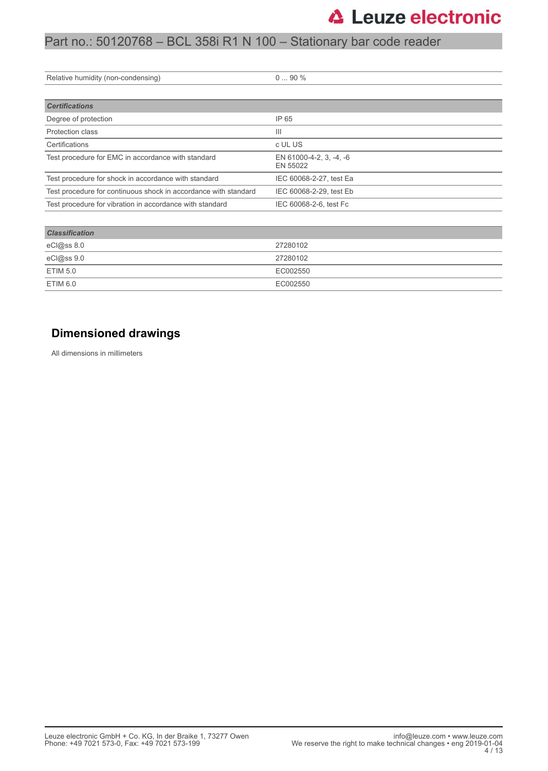| Relative humidity (non-condensing)                              | $090\%$                             |
|-----------------------------------------------------------------|-------------------------------------|
|                                                                 |                                     |
| <b>Certifications</b>                                           |                                     |
| Degree of protection                                            | IP 65                               |
| Protection class                                                | Ш                                   |
| Certifications                                                  | c UL US                             |
| Test procedure for EMC in accordance with standard              | EN 61000-4-2, 3, -4, -6<br>EN 55022 |
| Test procedure for shock in accordance with standard            | IEC 60068-2-27, test Ea             |
| Test procedure for continuous shock in accordance with standard | IEC 60068-2-29, test Eb             |
| Test procedure for vibration in accordance with standard        | IEC 60068-2-6, test Fc              |
|                                                                 |                                     |

| <b>Classification</b> |          |
|-----------------------|----------|
| eCl@ss 8.0            | 27280102 |
| eCl@ss 9.0            | 27280102 |
| ETIM 5.0              | EC002550 |
| ETIM 6.0              | EC002550 |

#### **Dimensioned drawings**

All dimensions in millimeters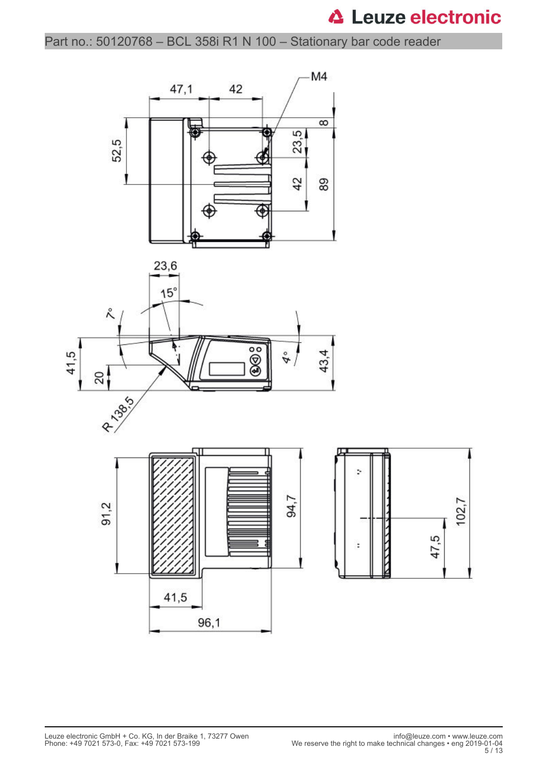Part no.: 50120768 – BCL 358i R1 N 100 – Stationary bar code reader

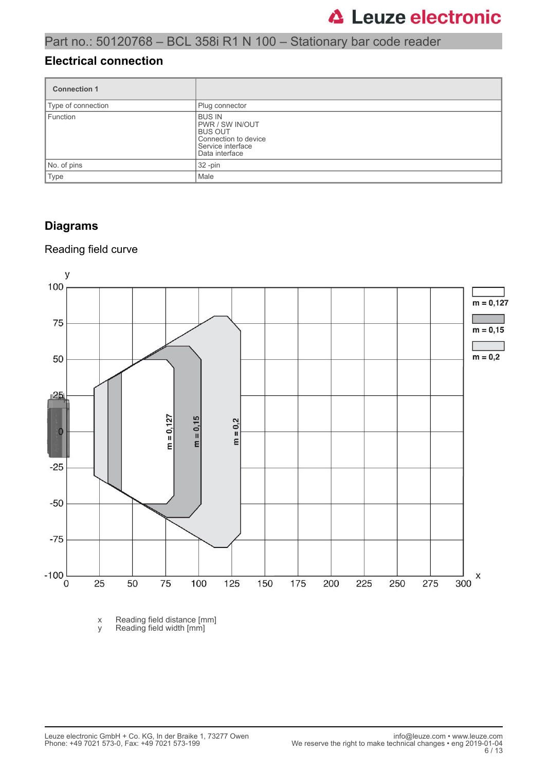#### **Electrical connection**

| <b>Connection 1</b> |                                                                                                                          |
|---------------------|--------------------------------------------------------------------------------------------------------------------------|
| Type of connection  | Plug connector                                                                                                           |
| Function            | <b>BUS IN</b><br><b>PWR / SW IN/OUT</b><br><b>BUS OUT</b><br>Connection to device<br>Service interface<br>Data interface |
| No. of pins         | $32 - pin$                                                                                                               |
| <b>Type</b>         | Male                                                                                                                     |

#### **Diagrams**

#### Reading field curve



x Reading field distance [mm] y Reading field width [mm]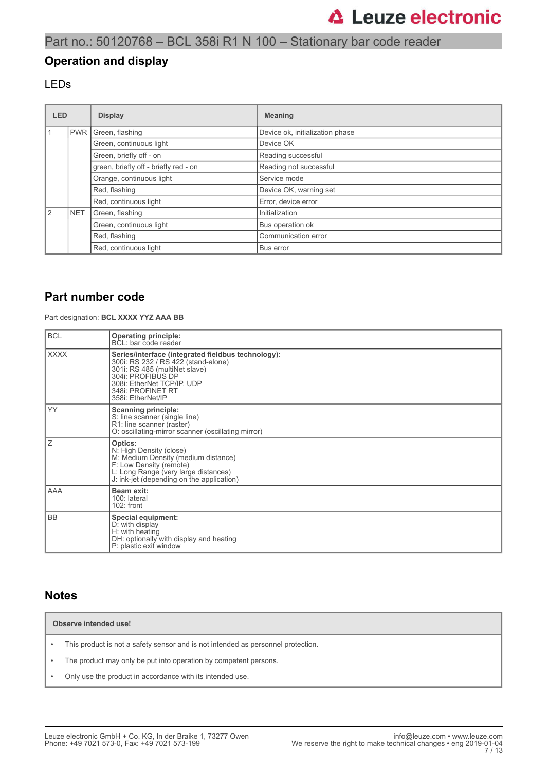#### **Operation and display**

#### LEDs

| <b>LED</b>    |                       | <b>Display</b>                        | <b>Meaning</b>                  |
|---------------|-----------------------|---------------------------------------|---------------------------------|
|               | <b>PWR</b>            | Green, flashing                       | Device ok, initialization phase |
|               |                       | Green, continuous light               | Device OK                       |
|               |                       | Green, briefly off - on               | Reading successful              |
|               |                       | green, briefly off - briefly red - on | Reading not successful          |
|               |                       | Orange, continuous light              | Service mode                    |
|               |                       | Red, flashing                         | Device OK, warning set          |
|               | Red, continuous light |                                       | Error, device error             |
| $\mathcal{P}$ | <b>NET</b>            | Green, flashing                       | Initialization                  |
|               |                       | Green, continuous light               | Bus operation ok                |
|               |                       | Red, flashing                         | Communication error             |
|               |                       | Red, continuous light                 | Bus error                       |

#### **Part number code**

Part designation: **BCL XXXX YYZ AAA BB**

| <b>BCL</b>  | <b>Operating principle:</b><br>BCL: bar code reader                                                                                                                                                                     |
|-------------|-------------------------------------------------------------------------------------------------------------------------------------------------------------------------------------------------------------------------|
| <b>XXXX</b> | Series/interface (integrated fieldbus technology):<br>300i: RS 232 / RS 422 (stand-alone)<br>301i: RS 485 (multiNet slave)<br>304i: PROFIBUS DP<br>308i: EtherNet TCP/IP, UDP<br>348i: PROFINET RT<br>358i: EtherNet/IP |
| YY          | <b>Scanning principle:</b><br>S: line scanner (single line)<br>R1: line scanner (raster)<br>O: oscillating-mirror scanner (oscillating mirror)                                                                          |
| Ζ           | Optics:<br>N: High Density (close)<br>M: Medium Density (medium distance)<br>F: Low Density (remote)<br>L: Long Range (very large distances)<br>J: ink-jet (depending on the application)                               |
| AAA         | Beam exit:<br>100: lateral<br>102: front                                                                                                                                                                                |
| <b>BB</b>   | Special equipment:<br>D: with display<br>H: with heating<br>DH: optionally with display and heating<br>P: plastic exit window                                                                                           |

#### **Notes**

**Observe intended use!**

- This product is not a safety sensor and is not intended as personnel protection.
- The product may only be put into operation by competent persons.
- Only use the product in accordance with its intended use.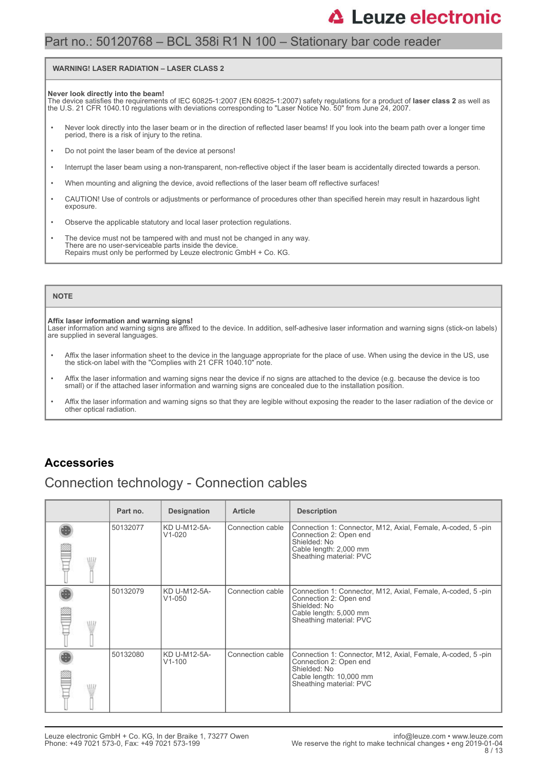#### Part no.: 50120768 – BCL 358i R1 N 100 – Stationary bar code reader

#### **WARNING! LASER RADIATION – LASER CLASS 2**

#### **Never look directly into the beam!**

The device satisfies the requirements of IEC 60825-1:2007 (EN 60825-1:2007) safety regulations for a product of **laser class 2** as well as<br>the U.S. 21 CFR 1040.10 regulations with deviations corresponding to "Laser Notice

- Never look directly into the laser beam or in the direction of reflected laser beams! If you look into the beam path over a longer time period, there is a risk of injury to the retina.
- Do not point the laser beam of the device at persons!
- Interrupt the laser beam using a non-transparent, non-reflective object if the laser beam is accidentally directed towards a person.
- When mounting and aligning the device, avoid reflections of the laser beam off reflective surfaces!
- CAUTION! Use of controls or adjustments or performance of procedures other than specified herein may result in hazardous light exposure.
- Observe the applicable statutory and local laser protection regulations.
- The device must not be tampered with and must not be changed in any way. There are no user-serviceable parts inside the device. Repairs must only be performed by Leuze electronic GmbH + Co. KG.

#### **NOTE**

#### **Affix laser information and warning signs!**

Laser information and warning signs are affixed to the device. In addition, self-adhesive laser information and warning signs (stick-on labels) are supplied in several languages.

- Affix the laser information sheet to the device in the language appropriate for the place of use. When using the device in the US, use the stick-on label with the "Complies with 21 CFR 1040.10" note.
- Affix the laser information and warning signs near the device if no signs are attached to the device (e.g. because the device is too small) or if the attached laser information and warning signs are concealed due to the installation position.
- Affix the laser information and warning signs so that they are legible without exposing the reader to the laser radiation of the device or other optical radiation.

#### **Accessories**

#### Connection technology - Connection cables

|       | Part no. | <b>Designation</b>         | <b>Article</b>   | <b>Description</b>                                                                                                                                          |
|-------|----------|----------------------------|------------------|-------------------------------------------------------------------------------------------------------------------------------------------------------------|
| ALLI. | 50132077 | KD U-M12-5A-<br>$V1-020$   | Connection cable | Connection 1: Connector, M12, Axial, Female, A-coded, 5-pin<br>Connection 2: Open end<br>Shielded: No<br>Cable length: 2,000 mm<br>Sheathing material: PVC  |
| \HL   | 50132079 | KD U-M12-5A-<br>$V1 - 050$ | Connection cable | Connection 1: Connector, M12, Axial, Female, A-coded, 5-pin<br>Connection 2: Open end<br>Shielded: No<br>Cable length: 5,000 mm<br>Sheathing material: PVC  |
| ALLI. | 50132080 | KD U-M12-5A-<br>$V1 - 100$ | Connection cable | Connection 1: Connector, M12, Axial, Female, A-coded, 5-pin<br>Connection 2: Open end<br>Shielded: No<br>Cable length: 10,000 mm<br>Sheathing material: PVC |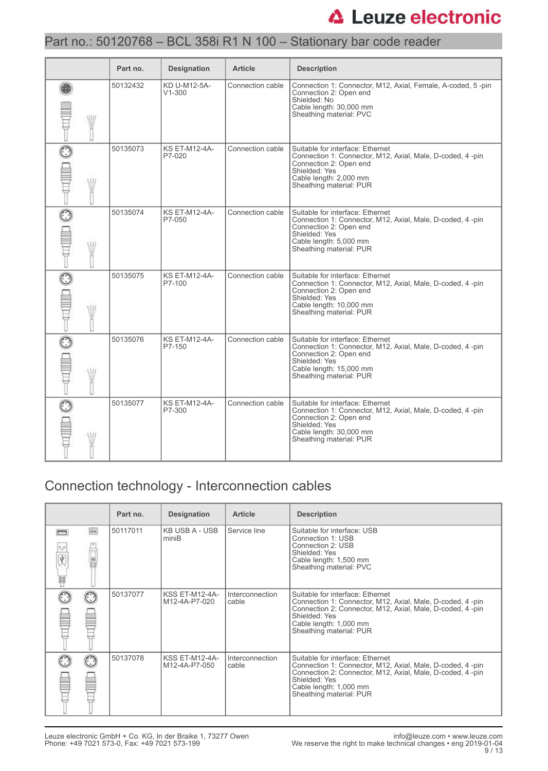### Part no.: 50120768 – BCL 358i R1 N 100 – Stationary bar code reader

|     | Part no. | <b>Designation</b>             | <b>Article</b>   | <b>Description</b>                                                                                                                                                                              |
|-----|----------|--------------------------------|------------------|-------------------------------------------------------------------------------------------------------------------------------------------------------------------------------------------------|
| WII | 50132432 | KD U-M12-5A-<br>$V1 - 300$     | Connection cable | Connection 1: Connector, M12, Axial, Female, A-coded, 5-pin<br>Connection 2: Open end<br>Shielded: No<br>Cable length: 30,000 mm<br>Sheathing material: PVC                                     |
|     | 50135073 | <b>KS ET-M12-4A-</b><br>P7-020 | Connection cable | Suitable for interface: Ethernet<br>Connection 1: Connector, M12, Axial, Male, D-coded, 4-pin<br>Connection 2: Open end<br>Shielded: Yes<br>Cable length: 2,000 mm<br>Sheathing material: PUR   |
|     | 50135074 | <b>KS ET-M12-4A-</b><br>P7-050 | Connection cable | Suitable for interface: Ethernet<br>Connection 1: Connector, M12, Axial, Male, D-coded, 4 -pin<br>Connection 2: Open end<br>Shielded: Yes<br>Cable length: 5,000 mm<br>Sheathing material: PUR  |
| W   | 50135075 | <b>KS ET-M12-4A-</b><br>P7-100 | Connection cable | Suitable for interface: Ethernet<br>Connection 1: Connector, M12, Axial, Male, D-coded, 4-pin<br>Connection 2: Open end<br>Shielded: Yes<br>Cable length: 10,000 mm<br>Sheathing material: PUR  |
| W   | 50135076 | <b>KS ET-M12-4A-</b><br>P7-150 | Connection cable | Suitable for interface: Ethernet<br>Connection 1: Connector, M12, Axial, Male, D-coded, 4 -pin<br>Connection 2: Open end<br>Shielded: Yes<br>Cable length: 15,000 mm<br>Sheathing material: PUR |
|     | 50135077 | <b>KS ET-M12-4A-</b><br>P7-300 | Connection cable | Suitable for interface: Ethernet<br>Connection 1: Connector, M12, Axial, Male, D-coded, 4 -pin<br>Connection 2: Open end<br>Shielded: Yes<br>Cable length: 30,000 mm<br>Sheathing material: PUR |

# Connection technology - Interconnection cables

|         |        | Part no. | <b>Designation</b>                     | <b>Article</b>           | <b>Description</b>                                                                                                                                                                                                               |
|---------|--------|----------|----------------------------------------|--------------------------|----------------------------------------------------------------------------------------------------------------------------------------------------------------------------------------------------------------------------------|
| Ý.<br>U | $\Box$ | 50117011 | KB USB A - USB<br>miniB                | Service line             | Suitable for interface: USB<br>Connection 1: USB<br>Connection 2: USB<br>Shielded: Yes<br>Cable length: 1,500 mm<br>Sheathing material: PVC                                                                                      |
|         |        | 50137077 | <b>KSS ET-M12-4A-</b><br>M12-4A-P7-020 | Interconnection<br>cable | Suitable for interface: Ethernet<br>Connection 1: Connector, M12, Axial, Male, D-coded, 4-pin<br>Connection 2: Connector, M12, Axial, Male, D-coded, 4-pin<br>Shielded: Yes<br>Cable length: 1,000 mm<br>Sheathing material: PUR |
|         |        | 50137078 | <b>KSS ET-M12-4A-</b><br>M12-4A-P7-050 | Interconnection<br>cable | Suitable for interface: Ethernet<br>Connection 1: Connector, M12, Axial, Male, D-coded, 4-pin<br>Connection 2: Connector, M12, Axial, Male, D-coded, 4-pin<br>Shielded: Yes<br>Cable length: 1,000 mm<br>Sheathing material: PUR |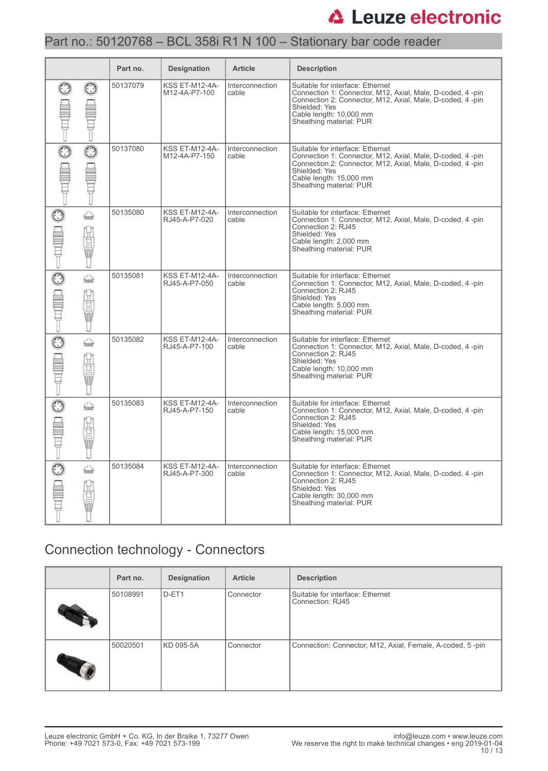### Part no.: 50120768 – BCL 358i R1 N 100 – Stationary bar code reader

|             | Part no. | <b>Designation</b>                     | <b>Article</b>           | <b>Description</b>                                                                                                                                                                                                                |
|-------------|----------|----------------------------------------|--------------------------|-----------------------------------------------------------------------------------------------------------------------------------------------------------------------------------------------------------------------------------|
|             | 50137079 | <b>KSS ET-M12-4A-</b><br>M12-4A-P7-100 | Interconnection<br>cable | Suitable for interface: Ethernet<br>Connection 1: Connector, M12, Axial, Male, D-coded, 4-pin<br>Connection 2: Connector, M12, Axial, Male, D-coded, 4-pin<br>Shielded: Yes<br>Cable length: 10.000 mm<br>Sheathing material: PUR |
| $\odot$     | 50137080 | <b>KSS ET-M12-4A-</b><br>M12-4A-P7-150 | Interconnection<br>cable | Suitable for interface: Ethernet<br>Connection 1: Connector, M12, Axial, Male, D-coded, 4-pin<br>Connection 2: Connector, M12, Axial, Male, D-coded, 4-pin<br>Shielded: Yes<br>Cable length: 15,000 mm<br>Sheathing material: PUR |
| ⇔<br>Ü<br>I | 50135080 | <b>KSS ET-M12-4A-</b><br>RJ45-A-P7-020 | Interconnection<br>cable | Suitable for interface: Ethernet<br>Connection 1: Connector, M12, Axial, Male, D-coded, 4-pin<br>Connection 2: RJ45<br>Shielded: Yes<br>Cable length: 2,000 mm<br>Sheathing material: PUR                                         |
| ⇔<br>Ü<br>ī | 50135081 | <b>KSS ET-M12-4A-</b><br>RJ45-A-P7-050 | Interconnection<br>cable | Suitable for interface: Ethernet<br>Connection 1: Connector, M12, Axial, Male, D-coded, 4-pin<br>Connection 2: RJ45<br>Shielded: Yes<br>Cable length: 5,000 mm<br>Sheathing material: PUR                                         |
| ⇔<br>ğ<br>Ū | 50135082 | <b>KSS ET-M12-4A-</b><br>RJ45-A-P7-100 | Interconnection<br>cable | Suitable for interface: Ethernet<br>Connection 1: Connector, M12, Axial, Male, D-coded, 4-pin<br>Connection 2: RJ45<br>Shielded: Yes<br>Cable length: 10,000 mm<br>Sheathing material: PUR                                        |
| ⇔<br>ī      | 50135083 | KSS ET-M12-4A-<br>RJ45-A-P7-150        | Interconnection<br>cable | Suitable for interface: Ethernet<br>Connection 1: Connector, M12, Axial, Male, D-coded, 4-pin<br>Connection 2: RJ45<br>Shielded: Yes<br>Cable length: 15,000 mm<br>Sheathing material: PUR                                        |
| ⇔<br>g      | 50135084 | <b>KSS ET-M12-4A-</b><br>RJ45-A-P7-300 | Interconnection<br>cable | Suitable for interface: Ethernet<br>Connection 1: Connector, M12, Axial, Male, D-coded, 4-pin<br>Connection 2: RJ45<br>Shielded: Yes<br>Cable length: 30,000 mm<br>Sheathing material: PUR                                        |

### Connection technology - Connectors

| Part no. | <b>Designation</b> | <b>Article</b> | <b>Description</b>                                        |
|----------|--------------------|----------------|-----------------------------------------------------------|
| 50108991 | D-ET1              | Connector      | Suitable for interface: Ethernet<br>Connection: RJ45      |
| 50020501 | KD 095-5A          | Connector      | Connection: Connector, M12, Axial, Female, A-coded, 5-pin |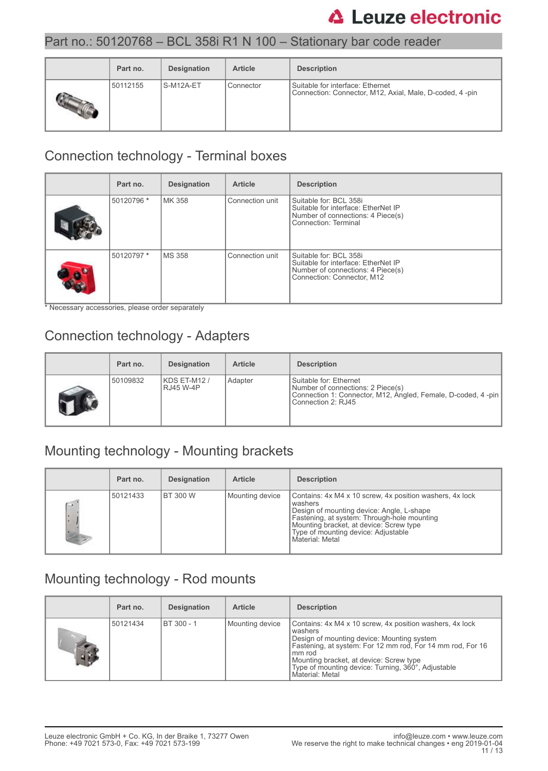### Part no.: 50120768 – BCL 358i R1 N 100 – Stationary bar code reader

| Part no. | Designation | <b>Article</b> | <b>Description</b>                                                                          |
|----------|-------------|----------------|---------------------------------------------------------------------------------------------|
| 50112155 | l S-M12A-ET | Connector      | Suitable for interface: Ethernet<br>Connection: Connector, M12, Axial, Male, D-coded, 4-pin |

# Connection technology - Terminal boxes

| Part no.   | <b>Designation</b> | <b>Article</b>  | <b>Description</b>                                                                                                               |
|------------|--------------------|-----------------|----------------------------------------------------------------------------------------------------------------------------------|
| 50120796 * | MK 358             | Connection unit | Suitable for: BCL 358i<br>Suitable for interface: EtherNet IP<br>Number of connections: 4 Piece(s)<br>Connection: Terminal       |
| 50120797 * | <b>MS 358</b>      | Connection unit | Suitable for: BCL 358i<br>Suitable for interface: EtherNet IP<br>Number of connections: 4 Piece(s)<br>Connection: Connector, M12 |

\* Necessary accessories, please order separately

### Connection technology - Adapters

| Part no. | <b>Designation</b>        | <b>Article</b> | <b>Description</b>                                                                                                                                   |
|----------|---------------------------|----------------|------------------------------------------------------------------------------------------------------------------------------------------------------|
| 50109832 | KDS ET-M12 /<br>RJ45 W-4P | Adapter        | l Suitable for: Ethernet<br>Number of connections: 2 Piece(s)<br>Connection 1: Connector, M12, Angled, Female, D-coded, 4 -pin<br>Connection 2: RJ45 |

### Mounting technology - Mounting brackets

|            | Part no. | <b>Designation</b> | <b>Article</b>  | <b>Description</b>                                                                                                                                                                                                                                                   |
|------------|----------|--------------------|-----------------|----------------------------------------------------------------------------------------------------------------------------------------------------------------------------------------------------------------------------------------------------------------------|
| $\sqrt{2}$ | 50121433 | I BT 300 W         | Mounting device | Contains: 4x M4 x 10 screw, 4x position washers, 4x lock<br>washers<br>Design of mounting device: Angle, L-shape<br>Fastening, at system: Through-hole mounting<br>Mounting bracket, at device: Screw type<br>Type of mounting device: Adjustable<br>Material: Metal |

### Mounting technology - Rod mounts

| Part no. | <b>Designation</b> | <b>Article</b>  | <b>Description</b>                                                                                                                                                                                                                                                                                            |
|----------|--------------------|-----------------|---------------------------------------------------------------------------------------------------------------------------------------------------------------------------------------------------------------------------------------------------------------------------------------------------------------|
| 50121434 | BT 300 - 1         | Mounting device | Contains: 4x M4 x 10 screw, 4x position washers, 4x lock<br>washers<br>Design of mounting device: Mounting system<br>Fastening, at system: For 12 mm rod, For 14 mm rod, For 16<br>mm rod<br>Mounting bracket, at device: Screw type<br>Type of mounting device: Turning, 360°, Adjustable<br>Material: Metal |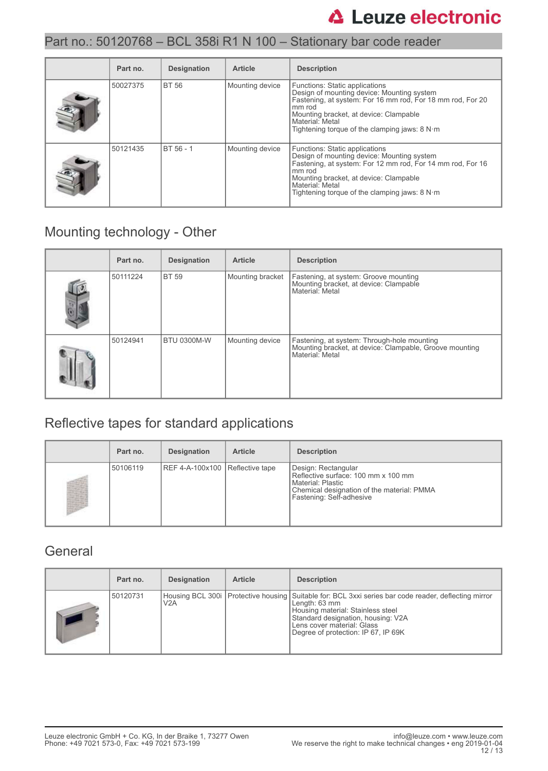### Part no.: 50120768 – BCL 358i R1 N 100 – Stationary bar code reader

| Part no. | <b>Designation</b> | <b>Article</b>  | <b>Description</b>                                                                                                                                                                                                                                                   |
|----------|--------------------|-----------------|----------------------------------------------------------------------------------------------------------------------------------------------------------------------------------------------------------------------------------------------------------------------|
| 50027375 | <b>BT 56</b>       | Mounting device | Functions: Static applications<br>Design of mounting device: Mounting system<br>Fastening, at system: For 16 mm rod, For 18 mm rod, For 20<br>mm rod<br>Mounting bracket, at device: Clampable<br>Material: Metal<br>Tightening torque of the clamping jaws: $8 N·m$ |
| 50121435 | BT 56 - 1          | Mounting device | Functions: Static applications<br>Design of mounting device: Mounting system<br>Fastening, at system: For 12 mm rod, For 14 mm rod, For 16<br>mm rod<br>Mounting bracket, at device: Clampable<br>Material: Metal<br>Tightening torque of the clamping jaws: $8 N·m$ |

### Mounting technology - Other

| Part no. | <b>Designation</b> | <b>Article</b>   | <b>Description</b>                                                                                                        |
|----------|--------------------|------------------|---------------------------------------------------------------------------------------------------------------------------|
| 50111224 | <b>BT 59</b>       | Mounting bracket | Fastening, at system: Groove mounting<br>Mounting bracket, at device: Clampable<br>Material: Metal                        |
| 50124941 | <b>BTU 0300M-W</b> | Mounting device  | Fastening, at system: Through-hole mounting<br>Mounting bracket, at device: Clampable, Groove mounting<br>Material: Metal |

# Reflective tapes for standard applications

| Part no. | <b>Designation</b>              | <b>Article</b> | <b>Description</b>                                                                                                                                          |
|----------|---------------------------------|----------------|-------------------------------------------------------------------------------------------------------------------------------------------------------------|
| 50106119 | REF 4-A-100x100 Reflective tape |                | Design: Rectangular<br>Reflective surface: 100 mm x 100 mm<br>l Material: Plastic<br>Chemical designation of the material: PMMA<br>Fastening: Self-adhesive |

#### **General**

| Part no. | <b>Designation</b> | <b>Article</b> | <b>Description</b>                                                                                                                                                                                                                                                        |
|----------|--------------------|----------------|---------------------------------------------------------------------------------------------------------------------------------------------------------------------------------------------------------------------------------------------------------------------------|
| 50120731 | V2A                |                | Housing BCL 300i   Protective housing   Suitable for: BCL 3xxi series bar code reader, deflecting mirror<br>Length: 63 mm<br>Housing material: Stainless steel<br>Standard designation, housing: V2A<br>Lens cover material: Glass<br>Degree of protection: IP 67, IP 69K |